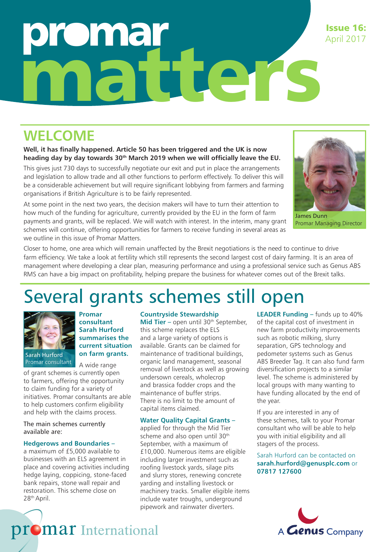# **oma** matters

# **WELCOME**

**Well, it has finally happened. Article 50 has been triggered and the UK is now heading day by day towards 30th March 2019 when we will officially leave the EU.** 

This gives just 730 days to successfully negotiate our exit and put in place the arrangements and legislation to allow trade and all other functions to perform effectively. To deliver this will be a considerable achievement but will require significant lobbying from farmers and farming organisations if British Agriculture is to be fairly represented.

At some point in the next two years, the decision makers will have to turn their attention to how much of the funding for agriculture, currently provided by the EU in the form of farm payments and grants, will be replaced. We will watch with interest. In the interim, many grant schemes will continue, offering opportunities for farmers to receive funding in several areas as we outline in this issue of Promar Matters.



Issue 16: April 2017

James Dunn Promar Managing Director

Closer to home, one area which will remain unaffected by the Brexit negotiations is the need to continue to drive farm efficiency. We take a look at fertility which still represents the second largest cost of dairy farming. It is an area of management where developing a clear plan, measuring performance and using a professional service such as Genus ABS RMS can have a big impact on profitability, helping prepare the business for whatever comes out of the Brexit talks.

# Several grants schemes still open



Sarah Hurford Promar consultant

A wide range of grant schemes is currently open to farmers, offering the opportunity to claim funding for a variety of initiatives. Promar consultants are able to help customers confirm eligibility

**Promar consultant Sarah Hurford summarises the current situation on farm grants.** 

The main schemes currently available are:

#### **Hedgerows and Boundaries –**

and help with the claims process.

a maximum of £5,000 available to businesses with an ELS agreement in place and covering activities including hedge laying, coppicing, stone-faced bank repairs, stone wall repair and restoration. This scheme close on 28th April.

#### **Countryside Stewardship**

**Mid Tier** – open until 30<sup>th</sup> September, this scheme replaces the ELS and a large variety of options is available. Grants can be claimed for maintenance of traditional buildings, organic land management, seasonal removal of livestock as well as growing undersown cereals, wholecrop and brassica fodder crops and the maintenance of buffer strips. There is no limit to the amount of capital items claimed.

#### **Water Quality Capital Grants –**

applied for through the Mid Tier scheme and also open until 30<sup>th</sup> September, with a maximum of £10,000. Numerous items are eligible including larger investment such as roofing livestock yards, silage pits and slurry stores, renewing concrete yarding and installing livestock or machinery tracks. Smaller eligible items include water troughs, underground pipework and rainwater diverters.

**LEADER Funding –** funds up to 40% of the capital cost of investment in new farm productivity improvements such as robotic milking, slurry separation, GPS technology and pedometer systems such as Genus ABS Breeder Tag. It can also fund farm diversification projects to a similar level. The scheme is administered by local groups with many wanting to have funding allocated by the end of the year.

If you are interested in any of these schemes, talk to your Promar consultant who will be able to help you with initial eligibility and all stagers of the process.

Sarah Hurford can be contacted on **sarah.hurford@genusplc.com** or **07817 127600**



### promar International